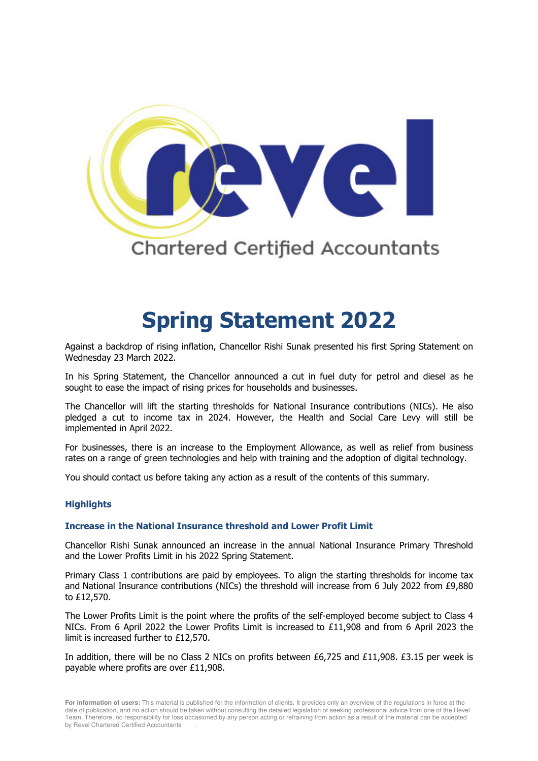

# **Spring Statement 2022**

Against a backdrop of rising inflation, Chancellor Rishi Sunak presented his first Spring Statement on Wednesday 23 March 2022.

In his Spring Statement, the Chancellor announced a cut in fuel duty for petrol and diesel as he sought to ease the impact of rising prices for households and businesses.

The Chancellor will lift the starting thresholds for National Insurance contributions (NICs). He also pledged a cut to income tax in 2024. However, the Health and Social Care Levy will still be implemented in April 2022.

For businesses, there is an increase to the Employment Allowance, as well as relief from business rates on a range of green technologies and help with training and the adoption of digital technology.

You should contact us before taking any action as a result of the contents of this summary.

## **Highlights**

#### **Increase in the National Insurance threshold and Lower Profit Limit**

Chancellor Rishi Sunak announced an increase in the annual National Insurance Primary Threshold and the Lower Profits Limit in his 2022 Spring Statement.

Primary Class 1 contributions are paid by employees. To align the starting thresholds for income tax and National Insurance contributions (NICs) the threshold will increase from 6 July 2022 from £9,880 to £12,570.

The Lower Profits Limit is the point where the profits of the self-employed become subject to Class 4 NICs. From 6 April 2022 the Lower Profits Limit is increased to £11,908 and from 6 April 2023 the limit is increased further to £12,570.

In addition, there will be no Class 2 NICs on profits between £6,725 and £11,908. £3.15 per week is payable where profits are over £11,908.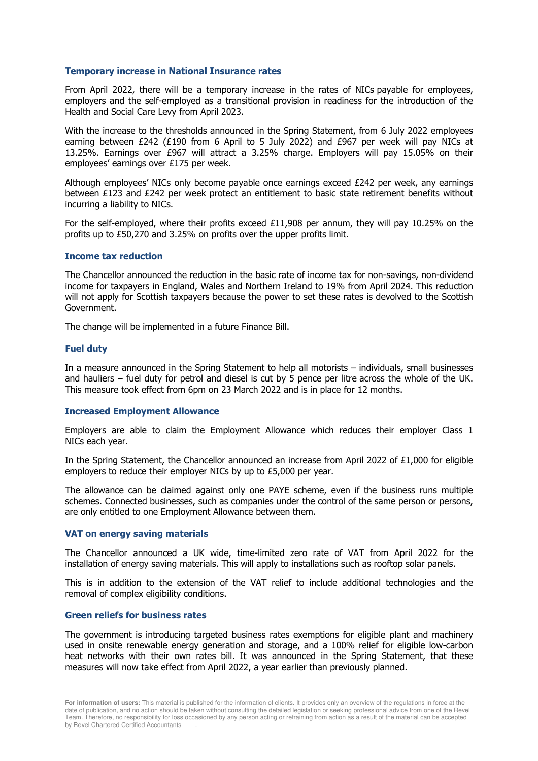#### **Temporary increase in National Insurance rates**

From April 2022, there will be a temporary increase in the rates of NICs payable for employees, employers and the self-employed as a transitional provision in readiness for the introduction of the Health and Social Care Levy from April 2023.

With the increase to the thresholds announced in the Spring Statement, from 6 July 2022 employees earning between £242 (£190 from 6 April to 5 July 2022) and £967 per week will pay NICs at 13.25%. Earnings over £967 will attract a 3.25% charge. Employers will pay 15.05% on their employees' earnings over £175 per week.

Although employees' NICs only become payable once earnings exceed £242 per week, any earnings between £123 and £242 per week protect an entitlement to basic state retirement benefits without incurring a liability to NICs.

For the self-employed, where their profits exceed £11,908 per annum, they will pay 10.25% on the profits up to £50,270 and 3.25% on profits over the upper profits limit.

#### **Income tax reduction**

The Chancellor announced the reduction in the basic rate of income tax for non-savings, non-dividend income for taxpayers in England, Wales and Northern Ireland to 19% from April 2024. This reduction will not apply for Scottish taxpayers because the power to set these rates is devolved to the Scottish Government.

The change will be implemented in a future Finance Bill.

#### **Fuel duty**

In a measure announced in the Spring Statement to help all motorists – individuals, small businesses and hauliers – fuel duty for petrol and diesel is cut by 5 pence per litre across the whole of the UK. This measure took effect from 6pm on 23 March 2022 and is in place for 12 months.

#### **Increased Employment Allowance**

Employers are able to claim the Employment Allowance which reduces their employer Class 1 NICs each year.

In the Spring Statement, the Chancellor announced an increase from April 2022 of £1,000 for eligible employers to reduce their employer NICs by up to £5,000 per year.

The allowance can be claimed against only one PAYE scheme, even if the business runs multiple schemes. Connected businesses, such as companies under the control of the same person or persons, are only entitled to one Employment Allowance between them.

#### **VAT on energy saving materials**

The Chancellor announced a UK wide, time-limited zero rate of VAT from April 2022 for the installation of energy saving materials. This will apply to installations such as rooftop solar panels.

This is in addition to the extension of the VAT relief to include additional technologies and the removal of complex eligibility conditions.

#### **Green reliefs for business rates**

The government is introducing targeted business rates exemptions for eligible plant and machinery used in onsite renewable energy generation and storage, and a 100% relief for eligible low-carbon heat networks with their own rates bill. It was announced in the Spring Statement, that these measures will now take effect from April 2022, a year earlier than previously planned.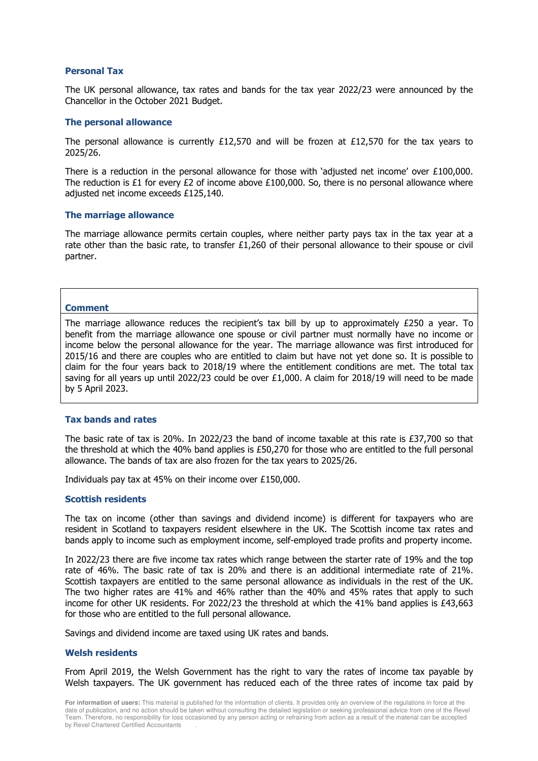#### **Personal Tax**

The UK personal allowance, tax rates and bands for the tax year 2022/23 were announced by the Chancellor in the October 2021 Budget.

#### **The personal allowance**

The personal allowance is currently £12,570 and will be frozen at £12,570 for the tax years to 2025/26.

There is a reduction in the personal allowance for those with 'adjusted net income' over £100,000. The reduction is £1 for every £2 of income above £100,000. So, there is no personal allowance where adjusted net income exceeds £125,140.

#### **The marriage allowance**

The marriage allowance permits certain couples, where neither party pays tax in the tax year at a rate other than the basic rate, to transfer £1,260 of their personal allowance to their spouse or civil partner.

#### **Comment**

The marriage allowance reduces the recipient's tax bill by up to approximately  $£250$  a year. To benefit from the marriage allowance one spouse or civil partner must normally have no income or income below the personal allowance for the year. The marriage allowance was first introduced for 2015/16 and there are couples who are entitled to claim but have not yet done so. It is possible to claim for the four years back to 2018/19 where the entitlement conditions are met. The total tax saving for all years up until 2022/23 could be over £1,000. A claim for 2018/19 will need to be made by 5 April 2023.

## **Tax bands and rates**

The basic rate of tax is 20%. In 2022/23 the band of income taxable at this rate is £37,700 so that the threshold at which the 40% band applies is £50,270 for those who are entitled to the full personal allowance. The bands of tax are also frozen for the tax years to 2025/26.

Individuals pay tax at 45% on their income over £150,000.

#### **Scottish residents**

The tax on income (other than savings and dividend income) is different for taxpayers who are resident in Scotland to taxpayers resident elsewhere in the UK. The Scottish income tax rates and bands apply to income such as employment income, self-employed trade profits and property income.

In 2022/23 there are five income tax rates which range between the starter rate of 19% and the top rate of 46%. The basic rate of tax is 20% and there is an additional intermediate rate of 21%. Scottish taxpayers are entitled to the same personal allowance as individuals in the rest of the UK. The two higher rates are 41% and 46% rather than the 40% and 45% rates that apply to such income for other UK residents. For 2022/23 the threshold at which the 41% band applies is £43,663 for those who are entitled to the full personal allowance.

Savings and dividend income are taxed using UK rates and bands.

#### **Welsh residents**

From April 2019, the Welsh Government has the right to vary the rates of income tax payable by Welsh taxpayers. The UK government has reduced each of the three rates of income tax paid by

**For information of users:** This material is published for the information of clients. It provides only an overview of the regulations in force at the date of publication, and no action should be taken without consulting the detailed legislation or seeking professional advice from one of the Revel Team. Therefore, no responsibility for loss occasioned by any person acting or refraining from action as a result of the material can be accepted by Revel Chartered Certified Accountants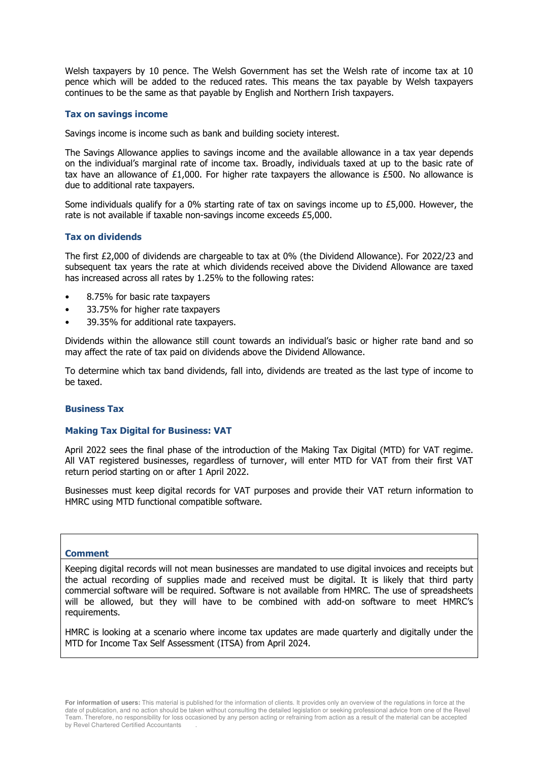Welsh taxpayers by 10 pence. The Welsh Government has set the Welsh rate of income tax at 10 pence which will be added to the reduced rates. This means the tax payable by Welsh taxpayers continues to be the same as that payable by English and Northern Irish taxpayers.

## **Tax on savings income**

Savings income is income such as bank and building society interest.

The Savings Allowance applies to savings income and the available allowance in a tax year depends on the individual's marginal rate of income tax. Broadly, individuals taxed at up to the basic rate of tax have an allowance of £1,000. For higher rate taxpayers the allowance is £500. No allowance is due to additional rate taxpayers.

Some individuals qualify for a 0% starting rate of tax on savings income up to  $£5,000$ . However, the rate is not available if taxable non-savings income exceeds £5,000.

## **Tax on dividends**

The first £2,000 of dividends are chargeable to tax at 0% (the Dividend Allowance). For 2022/23 and subsequent tax years the rate at which dividends received above the Dividend Allowance are taxed has increased across all rates by 1.25% to the following rates:

- 8.75% for basic rate taxpayers
- 33.75% for higher rate taxpayers
- 39.35% for additional rate taxpayers.

Dividends within the allowance still count towards an individual's basic or higher rate band and so may affect the rate of tax paid on dividends above the Dividend Allowance.

To determine which tax band dividends, fall into, dividends are treated as the last type of income to be taxed.

## **Business Tax**

#### **Making Tax Digital for Business: VAT**

April 2022 sees the final phase of the introduction of the Making Tax Digital (MTD) for VAT regime. All VAT registered businesses, regardless of turnover, will enter MTD for VAT from their first VAT return period starting on or after 1 April 2022.

Businesses must keep digital records for VAT purposes and provide their VAT return information to HMRC using MTD functional compatible software.

#### **Comment**

Keeping digital records will not mean businesses are mandated to use digital invoices and receipts but the actual recording of supplies made and received must be digital. It is likely that third party commercial software will be required. Software is not available from HMRC. The use of spreadsheets will be allowed, but they will have to be combined with add-on software to meet HMRC's requirements.

HMRC is looking at a scenario where income tax updates are made quarterly and digitally under the MTD for Income Tax Self Assessment (ITSA) from April 2024.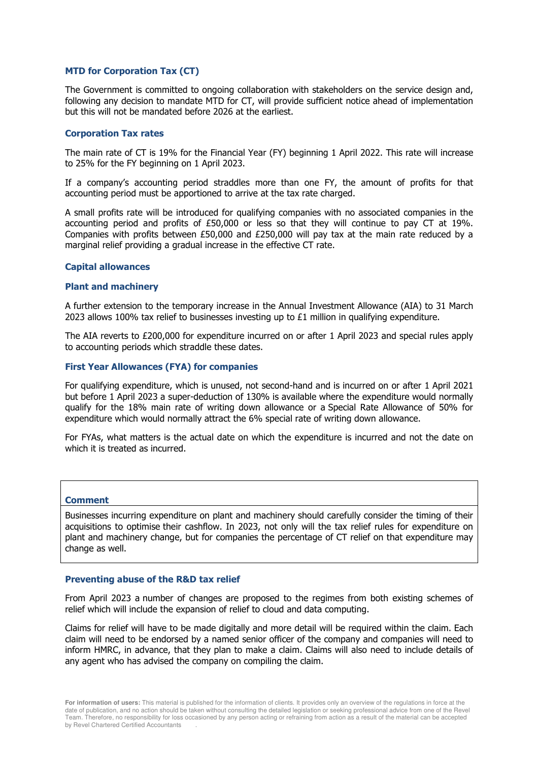## **MTD for Corporation Tax (CT)**

The Government is committed to ongoing collaboration with stakeholders on the service design and, following any decision to mandate MTD for CT, will provide sufficient notice ahead of implementation but this will not be mandated before 2026 at the earliest.

#### **Corporation Tax rates**

The main rate of CT is 19% for the Financial Year (FY) beginning 1 April 2022. This rate will increase to 25% for the FY beginning on 1 April 2023.

If a company's accounting period straddles more than one FY, the amount of profits for that accounting period must be apportioned to arrive at the tax rate charged.

A small profits rate will be introduced for qualifying companies with no associated companies in the accounting period and profits of £50,000 or less so that they will continue to pay CT at 19%. Companies with profits between £50,000 and £250,000 will pay tax at the main rate reduced by a marginal relief providing a gradual increase in the effective CT rate.

#### **Capital allowances**

#### **Plant and machinery**

A further extension to the temporary increase in the Annual Investment Allowance (AIA) to 31 March 2023 allows 100% tax relief to businesses investing up to  $E1$  million in qualifying expenditure.

The AIA reverts to £200,000 for expenditure incurred on or after 1 April 2023 and special rules apply to accounting periods which straddle these dates.

#### **First Year Allowances (FYA) for companies**

For qualifying expenditure, which is unused, not second-hand and is incurred on or after 1 April 2021 but before 1 April 2023 a super-deduction of 130% is available where the expenditure would normally qualify for the 18% main rate of writing down allowance or a Special Rate Allowance of 50% for expenditure which would normally attract the 6% special rate of writing down allowance.

For FYAs, what matters is the actual date on which the expenditure is incurred and not the date on which it is treated as incurred.

#### **Comment**

Businesses incurring expenditure on plant and machinery should carefully consider the timing of their acquisitions to optimise their cashflow. In 2023, not only will the tax relief rules for expenditure on plant and machinery change, but for companies the percentage of CT relief on that expenditure may change as well.

#### **Preventing abuse of the R&D tax relief**

From April 2023 a number of changes are proposed to the regimes from both existing schemes of relief which will include the expansion of relief to cloud and data computing.

Claims for relief will have to be made digitally and more detail will be required within the claim. Each claim will need to be endorsed by a named senior officer of the company and companies will need to inform HMRC, in advance, that they plan to make a claim. Claims will also need to include details of any agent who has advised the company on compiling the claim.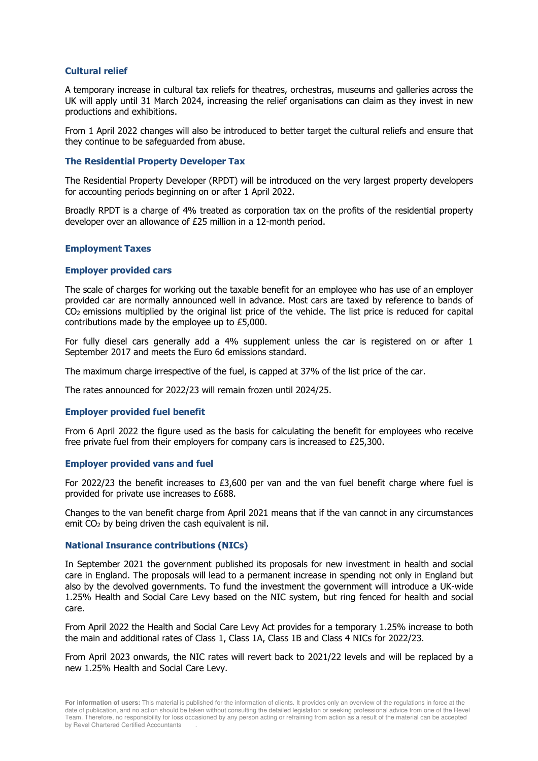## **Cultural relief**

A temporary increase in cultural tax reliefs for theatres, orchestras, museums and galleries across the UK will apply until 31 March 2024, increasing the relief organisations can claim as they invest in new productions and exhibitions.

From 1 April 2022 changes will also be introduced to better target the cultural reliefs and ensure that they continue to be safeguarded from abuse.

### **The Residential Property Developer Tax**

The Residential Property Developer (RPDT) will be introduced on the very largest property developers for accounting periods beginning on or after 1 April 2022.

Broadly RPDT is a charge of 4% treated as corporation tax on the profits of the residential property developer over an allowance of £25 million in a 12-month period.

## **Employment Taxes**

## **Employer provided cars**

The scale of charges for working out the taxable benefit for an employee who has use of an employer provided car are normally announced well in advance. Most cars are taxed by reference to bands of CO<sub>2</sub> emissions multiplied by the original list price of the vehicle. The list price is reduced for capital contributions made by the employee up to £5,000.

For fully diesel cars generally add a 4% supplement unless the car is registered on or after 1 September 2017 and meets the Euro 6d emissions standard.

The maximum charge irrespective of the fuel, is capped at 37% of the list price of the car.

The rates announced for 2022/23 will remain frozen until 2024/25.

#### **Employer provided fuel benefit**

From 6 April 2022 the figure used as the basis for calculating the benefit for employees who receive free private fuel from their employers for company cars is increased to £25,300.

#### **Employer provided vans and fuel**

For 2022/23 the benefit increases to  $£3,600$  per van and the van fuel benefit charge where fuel is provided for private use increases to £688.

Changes to the van benefit charge from April 2021 means that if the van cannot in any circumstances emit CO<sub>2</sub> by being driven the cash equivalent is nil.

#### **National Insurance contributions (NICs)**

In September 2021 the government published its proposals for new investment in health and social care in England. The proposals will lead to a permanent increase in spending not only in England but also by the devolved governments. To fund the investment the government will introduce a UK-wide 1.25% Health and Social Care Levy based on the NIC system, but ring fenced for health and social care.

From April 2022 the Health and Social Care Levy Act provides for a temporary 1.25% increase to both the main and additional rates of Class 1, Class 1A, Class 1B and Class 4 NICs for 2022/23.

From April 2023 onwards, the NIC rates will revert back to 2021/22 levels and will be replaced by a new 1.25% Health and Social Care Levy.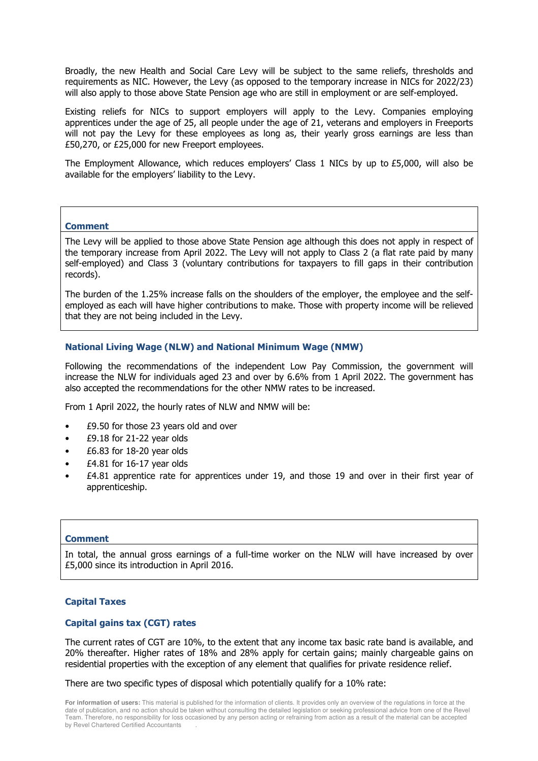Broadly, the new Health and Social Care Levy will be subject to the same reliefs, thresholds and requirements as NIC. However, the Levy (as opposed to the temporary increase in NICs for 2022/23) will also apply to those above State Pension age who are still in employment or are self-employed.

Existing reliefs for NICs to support employers will apply to the Levy. Companies employing apprentices under the age of 25, all people under the age of 21, veterans and employers in Freeports will not pay the Levy for these employees as long as, their yearly gross earnings are less than £50,270, or £25,000 for new Freeport employees.

The Employment Allowance, which reduces employers' Class 1 NICs by up to £5,000, will also be available for the employers' liability to the Levy.

#### **Comment**

The Levy will be applied to those above State Pension age although this does not apply in respect of the temporary increase from April 2022. The Levy will not apply to Class 2 (a flat rate paid by many self-employed) and Class 3 (voluntary contributions for taxpayers to fill gaps in their contribution records).

The burden of the 1.25% increase falls on the shoulders of the employer, the employee and the selfemployed as each will have higher contributions to make. Those with property income will be relieved that they are not being included in the Levy.

## **National Living Wage (NLW) and National Minimum Wage (NMW)**

Following the recommendations of the independent Low Pay Commission, the government will increase the NLW for individuals aged 23 and over by 6.6% from 1 April 2022. The government has also accepted the recommendations for the other NMW rates to be increased.

From 1 April 2022, the hourly rates of NLW and NMW will be:

- £9.50 for those 23 years old and over
- $£9.18$  for 21-22 year olds
- $£6.83$  for 18-20 year olds
- $£4.81$  for 16-17 year olds
- £4.81 apprentice rate for apprentices under 19, and those 19 and over in their first year of apprenticeship.

#### **Comment**

In total, the annual gross earnings of a full-time worker on the NLW will have increased by over £5,000 since its introduction in April 2016.

## **Capital Taxes**

## **Capital gains tax (CGT) rates**

The current rates of CGT are 10%, to the extent that any income tax basic rate band is available, and 20% thereafter. Higher rates of 18% and 28% apply for certain gains; mainly chargeable gains on residential properties with the exception of any element that qualifies for private residence relief.

There are two specific types of disposal which potentially qualify for a 10% rate:

**For information of users:** This material is published for the information of clients. It provides only an overview of the regulations in force at the date of publication, and no action should be taken without consulting the detailed legislation or seeking professional advice from one of the Revel Team. Therefore, no responsibility for loss occasioned by any person acting or refraining from action as a result of the material can be accepted by Revel Chartered Certified Accountants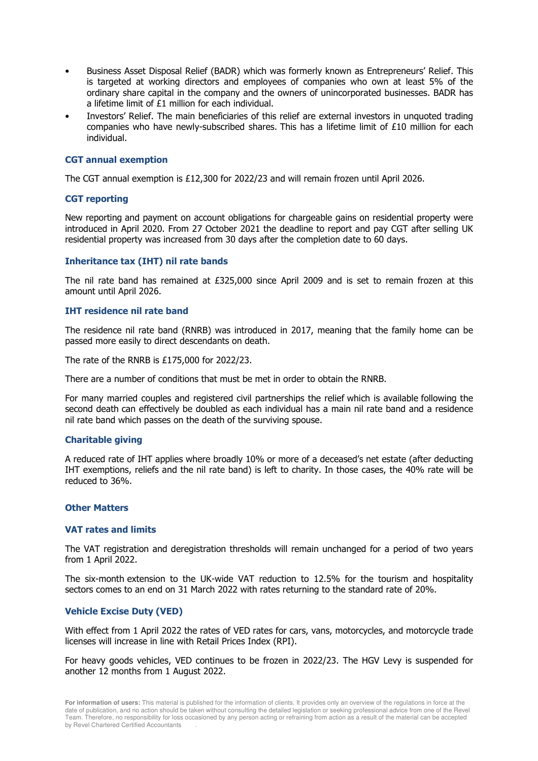- Business Asset Disposal Relief (BADR) which was formerly known as Entrepreneurs' Relief. This is targeted at working directors and employees of companies who own at least 5% of the ordinary share capital in the company and the owners of unincorporated businesses. BADR has a lifetime limit of £1 million for each individual.
- Investors' Relief. The main beneficiaries of this relief are external investors in unquoted trading companies who have newly-subscribed shares. This has a lifetime limit of £10 million for each individual.

## **CGT annual exemption**

The CGT annual exemption is £12,300 for 2022/23 and will remain frozen until April 2026.

## **CGT reporting**

New reporting and payment on account obligations for chargeable gains on residential property were introduced in April 2020. From 27 October 2021 the deadline to report and pay CGT after selling UK residential property was increased from 30 days after the completion date to 60 days.

## **Inheritance tax (IHT) nil rate bands**

The nil rate band has remained at £325,000 since April 2009 and is set to remain frozen at this amount until April 2026.

## **IHT residence nil rate band**

The residence nil rate band (RNRB) was introduced in 2017, meaning that the family home can be passed more easily to direct descendants on death.

The rate of the RNRB is £175,000 for 2022/23.

There are a number of conditions that must be met in order to obtain the RNRB.

For many married couples and registered civil partnerships the relief which is available following the second death can effectively be doubled as each individual has a main nil rate band and a residence nil rate band which passes on the death of the surviving spouse.

#### **Charitable giving**

A reduced rate of IHT applies where broadly 10% or more of a deceased's net estate (after deducting IHT exemptions, reliefs and the nil rate band) is left to charity. In those cases, the 40% rate will be reduced to 36%.

## **Other Matters**

#### **VAT rates and limits**

The VAT registration and deregistration thresholds will remain unchanged for a period of two years from 1 April 2022.

The six-month extension to the UK-wide VAT reduction to 12.5% for the tourism and hospitality sectors comes to an end on 31 March 2022 with rates returning to the standard rate of 20%.

## **Vehicle Excise Duty (VED)**

With effect from 1 April 2022 the rates of VED rates for cars, vans, motorcycles, and motorcycle trade licenses will increase in line with Retail Prices Index (RPI).

For heavy goods vehicles, VED continues to be frozen in 2022/23. The HGV Levy is suspended for another 12 months from 1 August 2022.